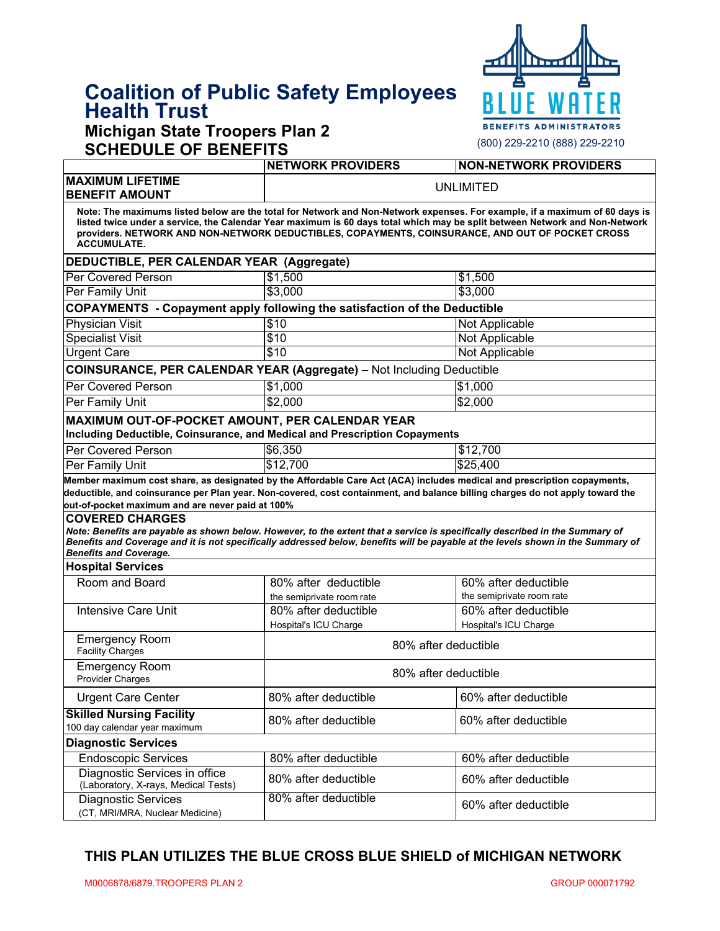# **Coalition of Public Safety Employees Health Trust**

# **Michigan State Troopers Plan 2**



| <b>NON-NETWORK PROVIDERS</b>                                                                                                                                                                                                                                                                                                                                                         |  |  |  |  |
|--------------------------------------------------------------------------------------------------------------------------------------------------------------------------------------------------------------------------------------------------------------------------------------------------------------------------------------------------------------------------------------|--|--|--|--|
|                                                                                                                                                                                                                                                                                                                                                                                      |  |  |  |  |
| <b>NETWORK PROVIDERS</b><br><b>UNLIMITED</b>                                                                                                                                                                                                                                                                                                                                         |  |  |  |  |
| Note: The maximums listed below are the total for Network and Non-Network expenses. For example, if a maximum of 60 days is<br>listed twice under a service, the Calendar Year maximum is 60 days total which may be split between Network and Non-Network<br>providers. NETWORK AND NON-NETWORK DEDUCTIBLES, COPAYMENTS, COINSURANCE, AND OUT OF POCKET CROSS<br><b>ACCUMULATE.</b> |  |  |  |  |
| DEDUCTIBLE, PER CALENDAR YEAR (Aggregate)                                                                                                                                                                                                                                                                                                                                            |  |  |  |  |
| \$1,500                                                                                                                                                                                                                                                                                                                                                                              |  |  |  |  |
| \$3,000                                                                                                                                                                                                                                                                                                                                                                              |  |  |  |  |
| <b>COPAYMENTS</b> - Copayment apply following the satisfaction of the Deductible                                                                                                                                                                                                                                                                                                     |  |  |  |  |
| Not Applicable                                                                                                                                                                                                                                                                                                                                                                       |  |  |  |  |
| Not Applicable                                                                                                                                                                                                                                                                                                                                                                       |  |  |  |  |
| <b>Not Applicable</b>                                                                                                                                                                                                                                                                                                                                                                |  |  |  |  |
| <b>COINSURANCE, PER CALENDAR YEAR (Aggregate) - Not Including Deductible</b>                                                                                                                                                                                                                                                                                                         |  |  |  |  |
| \$1,000                                                                                                                                                                                                                                                                                                                                                                              |  |  |  |  |
| \$2,000                                                                                                                                                                                                                                                                                                                                                                              |  |  |  |  |
| MAXIMUM OUT-OF-POCKET AMOUNT, PER CALENDAR YEAR                                                                                                                                                                                                                                                                                                                                      |  |  |  |  |
| Including Deductible, Coinsurance, and Medical and Prescription Copayments                                                                                                                                                                                                                                                                                                           |  |  |  |  |
| \$12,700                                                                                                                                                                                                                                                                                                                                                                             |  |  |  |  |
|                                                                                                                                                                                                                                                                                                                                                                                      |  |  |  |  |
| \$25,400                                                                                                                                                                                                                                                                                                                                                                             |  |  |  |  |
| Member maximum cost share, as designated by the Affordable Care Act (ACA) includes medical and prescription copayments,<br>deductible, and coinsurance per Plan year. Non-covered, cost containment, and balance billing charges do not apply toward the                                                                                                                             |  |  |  |  |
| Note: Benefits are payable as shown below. However, to the extent that a service is specifically described in the Summary of<br>Benefits and Coverage and it is not specifically addressed below, benefits will be payable at the levels shown in the Summary of                                                                                                                     |  |  |  |  |
|                                                                                                                                                                                                                                                                                                                                                                                      |  |  |  |  |
| 60% after deductible                                                                                                                                                                                                                                                                                                                                                                 |  |  |  |  |
| the semiprivate room rate                                                                                                                                                                                                                                                                                                                                                            |  |  |  |  |
| 60% after deductible                                                                                                                                                                                                                                                                                                                                                                 |  |  |  |  |
| Hospital's ICU Charge                                                                                                                                                                                                                                                                                                                                                                |  |  |  |  |
| 80% after deductible                                                                                                                                                                                                                                                                                                                                                                 |  |  |  |  |
| 80% after deductible                                                                                                                                                                                                                                                                                                                                                                 |  |  |  |  |
| 60% after deductible                                                                                                                                                                                                                                                                                                                                                                 |  |  |  |  |
| 60% after deductible                                                                                                                                                                                                                                                                                                                                                                 |  |  |  |  |
|                                                                                                                                                                                                                                                                                                                                                                                      |  |  |  |  |
| 60% after deductible                                                                                                                                                                                                                                                                                                                                                                 |  |  |  |  |
| 60% after deductible                                                                                                                                                                                                                                                                                                                                                                 |  |  |  |  |
|                                                                                                                                                                                                                                                                                                                                                                                      |  |  |  |  |

#### **THIS PLAN UTILIZES THE BLUE CROSS BLUE SHIELD of MICHIGAN NETWORK**

(CT, MRI/MRA, Nuclear Medicine)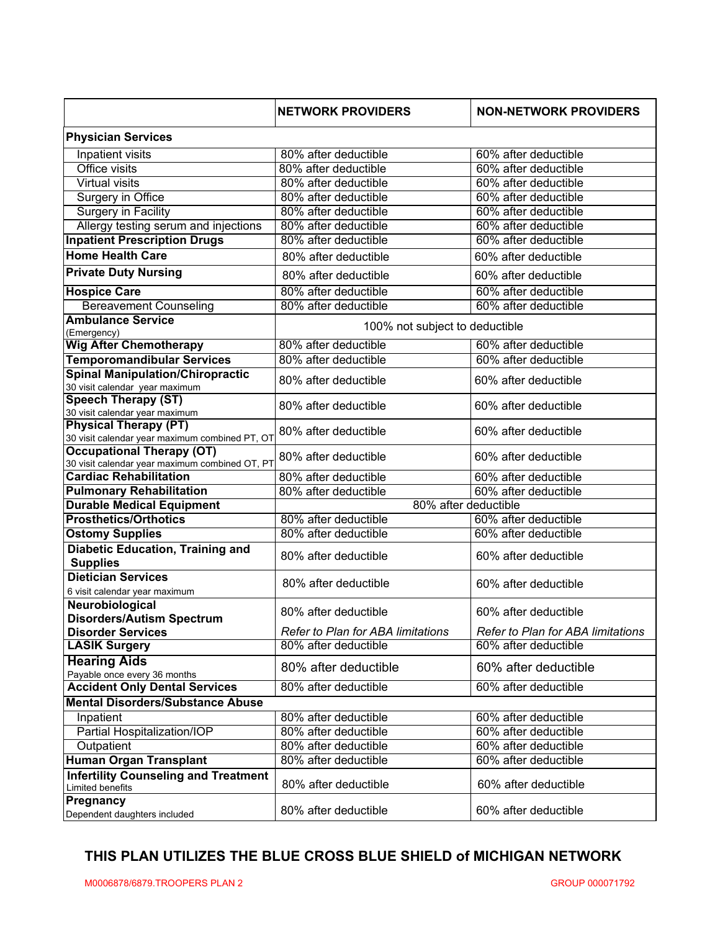|                                                                                    | <b>NETWORK PROVIDERS</b>          | <b>NON-NETWORK PROVIDERS</b>      |  |
|------------------------------------------------------------------------------------|-----------------------------------|-----------------------------------|--|
| <b>Physician Services</b>                                                          |                                   |                                   |  |
| Inpatient visits                                                                   | 80% after deductible              | 60% after deductible              |  |
| <b>Office visits</b>                                                               | 80% after deductible              | 60% after deductible              |  |
| <b>Virtual visits</b>                                                              | 80% after deductible              | 60% after deductible              |  |
| Surgery in Office                                                                  | 80% after deductible              | 60% after deductible              |  |
| <b>Surgery in Facility</b>                                                         | 80% after deductible              | 60% after deductible              |  |
| Allergy testing serum and injections                                               | 80% after deductible              | 60% after deductible              |  |
| <b>Inpatient Prescription Drugs</b>                                                | 80% after deductible              | 60% after deductible              |  |
| <b>Home Health Care</b>                                                            | 80% after deductible              | 60% after deductible              |  |
| <b>Private Duty Nursing</b>                                                        | 80% after deductible              | 60% after deductible              |  |
| <b>Hospice Care</b>                                                                | 80% after deductible              | 60% after deductible              |  |
| <b>Bereavement Counseling</b>                                                      | 80% after deductible              | 60% after deductible              |  |
| <b>Ambulance Service</b>                                                           |                                   |                                   |  |
| (Emergency)                                                                        | 100% not subject to deductible    |                                   |  |
| <b>Wig After Chemotherapy</b>                                                      | 80% after deductible              | 60% after deductible              |  |
| <b>Temporomandibular Services</b>                                                  | 80% after deductible              | 60% after deductible              |  |
| <b>Spinal Manipulation/Chiropractic</b><br>30 visit calendar year maximum          | 80% after deductible              | 60% after deductible              |  |
| <b>Speech Therapy (ST)</b><br>30 visit calendar year maximum                       | 80% after deductible              | 60% after deductible              |  |
| <b>Physical Therapy (PT)</b><br>30 visit calendar year maximum combined PT, OT     | 80% after deductible              | 60% after deductible              |  |
| <b>Occupational Therapy (OT)</b><br>30 visit calendar year maximum combined OT, PT | 80% after deductible              | 60% after deductible              |  |
| <b>Cardiac Rehabilitation</b>                                                      | 80% after deductible              | 60% after deductible              |  |
| <b>Pulmonary Rehabilitation</b>                                                    | 80% after deductible              | 60% after deductible              |  |
| <b>Durable Medical Equipment</b>                                                   | 80% after deductible              |                                   |  |
| <b>Prosthetics/Orthotics</b>                                                       | 80% after deductible              | 60% after deductible              |  |
| <b>Ostomy Supplies</b>                                                             | 80% after deductible              | 60% after deductible              |  |
| <b>Diabetic Education, Training and</b><br><b>Supplies</b>                         | 80% after deductible              | 60% after deductible              |  |
| <b>Dietician Services</b><br>6 visit calendar year maximum                         | 80% after deductible              | 60% after deductible              |  |
| Neurobiological<br><b>Disorders/Autism Spectrum</b>                                | 80% after deductible              | 60% after deductible              |  |
| <b>Disorder Services</b>                                                           | Refer to Plan for ABA limitations | Refer to Plan for ABA limitations |  |
| <b>LASIK Surgery</b>                                                               | 80% after deductible              | 60% after deductible              |  |
| <b>Hearing Aids</b><br>Payable once every 36 months                                | 80% after deductible              | 60% after deductible              |  |
| <b>Accident Only Dental Services</b>                                               | 80% after deductible              | 60% after deductible              |  |
| <b>Mental Disorders/Substance Abuse</b>                                            |                                   |                                   |  |
| Inpatient                                                                          | 80% after deductible              | 60% after deductible              |  |
| Partial Hospitalization/IOP                                                        | 80% after deductible              | 60% after deductible              |  |
| Outpatient                                                                         | 80% after deductible              | 60% after deductible              |  |
| Human Organ Transplant                                                             | 80% after deductible              | 60% after deductible              |  |
| <b>Infertility Counseling and Treatment</b><br>Limited benefits                    | 80% after deductible              | 60% after deductible              |  |
| Pregnancy<br>Dependent daughters included                                          | 80% after deductible              | 60% after deductible              |  |

### **THIS PLAN UTILIZES THE BLUE CROSS BLUE SHIELD of MICHIGAN NETWORK**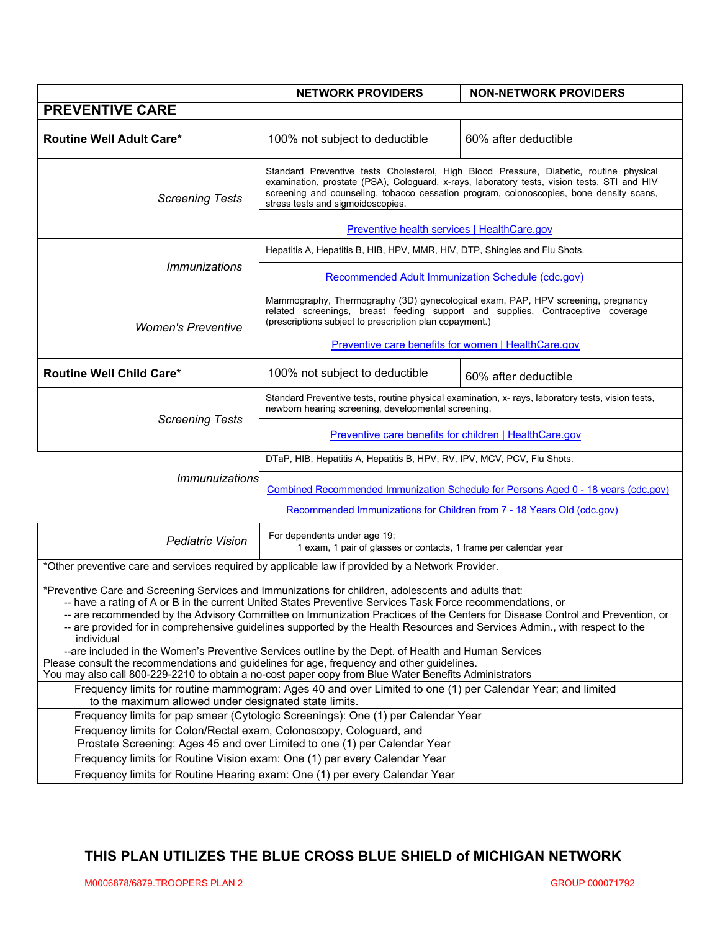|                                                                                                                                                                                                                                                                                                                                                                                                                                                                                                                                                                                                                                                                                                                                                                                                              | <b>NETWORK PROVIDERS</b>                                                                                                                                                                                                                                                                                              | <b>NON-NETWORK PROVIDERS</b> |  |  |
|--------------------------------------------------------------------------------------------------------------------------------------------------------------------------------------------------------------------------------------------------------------------------------------------------------------------------------------------------------------------------------------------------------------------------------------------------------------------------------------------------------------------------------------------------------------------------------------------------------------------------------------------------------------------------------------------------------------------------------------------------------------------------------------------------------------|-----------------------------------------------------------------------------------------------------------------------------------------------------------------------------------------------------------------------------------------------------------------------------------------------------------------------|------------------------------|--|--|
| <b>PREVENTIVE CARE</b>                                                                                                                                                                                                                                                                                                                                                                                                                                                                                                                                                                                                                                                                                                                                                                                       |                                                                                                                                                                                                                                                                                                                       |                              |  |  |
| <b>Routine Well Adult Care*</b>                                                                                                                                                                                                                                                                                                                                                                                                                                                                                                                                                                                                                                                                                                                                                                              | 100% not subject to deductible                                                                                                                                                                                                                                                                                        | 60% after deductible         |  |  |
| <b>Screening Tests</b>                                                                                                                                                                                                                                                                                                                                                                                                                                                                                                                                                                                                                                                                                                                                                                                       | Standard Preventive tests Cholesterol, High Blood Pressure, Diabetic, routine physical<br>examination, prostate (PSA), Cologuard, x-rays, laboratory tests, vision tests, STI and HIV<br>screening and counseling, tobacco cessation program, colonoscopies, bone density scans,<br>stress tests and sigmoidoscopies. |                              |  |  |
|                                                                                                                                                                                                                                                                                                                                                                                                                                                                                                                                                                                                                                                                                                                                                                                                              | Preventive health services   HealthCare.gov                                                                                                                                                                                                                                                                           |                              |  |  |
|                                                                                                                                                                                                                                                                                                                                                                                                                                                                                                                                                                                                                                                                                                                                                                                                              | Hepatitis A, Hepatitis B, HIB, HPV, MMR, HIV, DTP, Shingles and Flu Shots.                                                                                                                                                                                                                                            |                              |  |  |
| <i><b>Immunizations</b></i>                                                                                                                                                                                                                                                                                                                                                                                                                                                                                                                                                                                                                                                                                                                                                                                  | <b>Recommended Adult Immunization Schedule (cdc.gov)</b>                                                                                                                                                                                                                                                              |                              |  |  |
| <b>Women's Preventive</b>                                                                                                                                                                                                                                                                                                                                                                                                                                                                                                                                                                                                                                                                                                                                                                                    | Mammography, Thermography (3D) gynecological exam, PAP, HPV screening, pregnancy<br>related screenings, breast feeding support and supplies, Contraceptive coverage<br>(prescriptions subject to prescription plan copayment.)<br>Preventive care benefits for women   HealthCare.gov                                 |                              |  |  |
|                                                                                                                                                                                                                                                                                                                                                                                                                                                                                                                                                                                                                                                                                                                                                                                                              |                                                                                                                                                                                                                                                                                                                       |                              |  |  |
| <b>Routine Well Child Care*</b>                                                                                                                                                                                                                                                                                                                                                                                                                                                                                                                                                                                                                                                                                                                                                                              | 100% not subject to deductible                                                                                                                                                                                                                                                                                        | 60% after deductible         |  |  |
|                                                                                                                                                                                                                                                                                                                                                                                                                                                                                                                                                                                                                                                                                                                                                                                                              | Standard Preventive tests, routine physical examination, x- rays, laboratory tests, vision tests,<br>newborn hearing screening, developmental screening.                                                                                                                                                              |                              |  |  |
| <b>Screening Tests</b>                                                                                                                                                                                                                                                                                                                                                                                                                                                                                                                                                                                                                                                                                                                                                                                       | <b>Preventive care benefits for children   HealthCare.gov</b>                                                                                                                                                                                                                                                         |                              |  |  |
|                                                                                                                                                                                                                                                                                                                                                                                                                                                                                                                                                                                                                                                                                                                                                                                                              | DTaP, HIB, Hepatitis A, Hepatitis B, HPV, RV, IPV, MCV, PCV, Flu Shots.                                                                                                                                                                                                                                               |                              |  |  |
| Immunuizations                                                                                                                                                                                                                                                                                                                                                                                                                                                                                                                                                                                                                                                                                                                                                                                               | Combined Recommended Immunization Schedule for Persons Aged 0 - 18 years (cdc.gov)                                                                                                                                                                                                                                    |                              |  |  |
|                                                                                                                                                                                                                                                                                                                                                                                                                                                                                                                                                                                                                                                                                                                                                                                                              | Recommended Immunizations for Children from 7 - 18 Years Old (cdc.gov)                                                                                                                                                                                                                                                |                              |  |  |
| <b>Pediatric Vision</b>                                                                                                                                                                                                                                                                                                                                                                                                                                                                                                                                                                                                                                                                                                                                                                                      | For dependents under age 19:<br>1 exam, 1 pair of glasses or contacts, 1 frame per calendar year                                                                                                                                                                                                                      |                              |  |  |
| *Other preventive care and services required by applicable law if provided by a Network Provider.                                                                                                                                                                                                                                                                                                                                                                                                                                                                                                                                                                                                                                                                                                            |                                                                                                                                                                                                                                                                                                                       |                              |  |  |
| *Preventive Care and Screening Services and Immunizations for children, adolescents and adults that:<br>-- have a rating of A or B in the current United States Preventive Services Task Force recommendations, or<br>-- are recommended by the Advisory Committee on Immunization Practices of the Centers for Disease Control and Prevention, or<br>-- are provided for in comprehensive guidelines supported by the Health Resources and Services Admin., with respect to the<br>individual<br>--are included in the Women's Preventive Services outline by the Dept. of Health and Human Services<br>Please consult the recommendations and guidelines for age, frequency and other guidelines.<br>You may also call 800-229-2210 to obtain a no-cost paper copy from Blue Water Benefits Administrators |                                                                                                                                                                                                                                                                                                                       |                              |  |  |
| Frequency limits for routine mammogram: Ages 40 and over Limited to one (1) per Calendar Year; and limited                                                                                                                                                                                                                                                                                                                                                                                                                                                                                                                                                                                                                                                                                                   |                                                                                                                                                                                                                                                                                                                       |                              |  |  |
| to the maximum allowed under designated state limits.<br>Frequency limits for pap smear (Cytologic Screenings): One (1) per Calendar Year                                                                                                                                                                                                                                                                                                                                                                                                                                                                                                                                                                                                                                                                    |                                                                                                                                                                                                                                                                                                                       |                              |  |  |
| Frequency limits for Colon/Rectal exam, Colonoscopy, Cologuard, and                                                                                                                                                                                                                                                                                                                                                                                                                                                                                                                                                                                                                                                                                                                                          |                                                                                                                                                                                                                                                                                                                       |                              |  |  |
| Prostate Screening: Ages 45 and over Limited to one (1) per Calendar Year<br>Frequency limits for Routine Vision exam: One (1) per every Calendar Year                                                                                                                                                                                                                                                                                                                                                                                                                                                                                                                                                                                                                                                       |                                                                                                                                                                                                                                                                                                                       |                              |  |  |
| Frequency limits for Routine Hearing exam: One (1) per every Calendar Year                                                                                                                                                                                                                                                                                                                                                                                                                                                                                                                                                                                                                                                                                                                                   |                                                                                                                                                                                                                                                                                                                       |                              |  |  |

## **THIS PLAN UTILIZES THE BLUE CROSS BLUE SHIELD of MICHIGAN NETWORK**